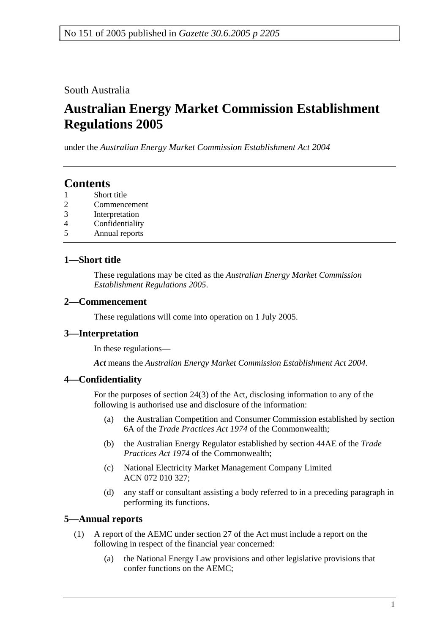South Australia

# **Australian Energy Market Commission Establishment Regulations 2005**

under the *Australian Energy Market Commission Establishment Act 2004*

## **Contents**

- 1 Short title
- 2 Commencement
- 3 Interpretation
- 4 Confidentiality
- 5 Annual reports

## **1—Short title**

These regulations may be cited as the *Australian Energy Market Commission Establishment Regulations 2005*.

#### **2—Commencement**

These regulations will come into operation on 1 July 2005.

## **3—Interpretation**

In these regulations—

*Act* means the *Australian Energy Market Commission Establishment Act 2004*.

## **4—Confidentiality**

For the purposes of section 24(3) of the Act, disclosing information to any of the following is authorised use and disclosure of the information:

- (a) the Australian Competition and Consumer Commission established by section 6A of the *Trade Practices Act 1974* of the Commonwealth;
- (b) the Australian Energy Regulator established by section 44AE of the *Trade Practices Act 1974* of the Commonwealth;
- (c) National Electricity Market Management Company Limited ACN 072 010 327;
- (d) any staff or consultant assisting a body referred to in a preceding paragraph in performing its functions.

## **5—Annual reports**

- (1) A report of the AEMC under section 27 of the Act must include a report on the following in respect of the financial year concerned:
	- (a) the National Energy Law provisions and other legislative provisions that confer functions on the AEMC;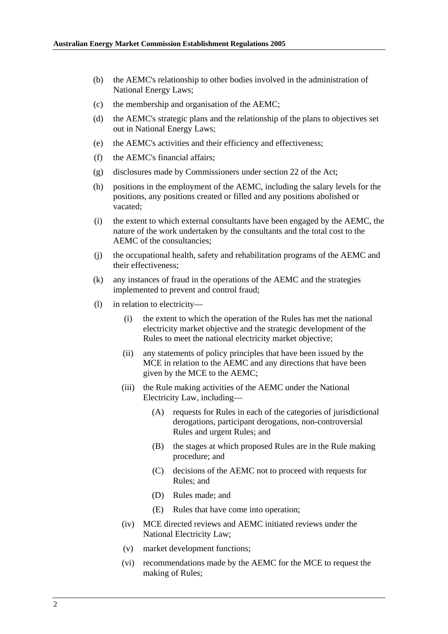- (b) the AEMC's relationship to other bodies involved in the administration of National Energy Laws;
- (c) the membership and organisation of the AEMC;
- (d) the AEMC's strategic plans and the relationship of the plans to objectives set out in National Energy Laws;
- (e) the AEMC's activities and their efficiency and effectiveness;
- (f) the AEMC's financial affairs;
- (g) disclosures made by Commissioners under section 22 of the Act;
- (h) positions in the employment of the AEMC, including the salary levels for the positions, any positions created or filled and any positions abolished or vacated;
- (i) the extent to which external consultants have been engaged by the AEMC, the nature of the work undertaken by the consultants and the total cost to the AEMC of the consultancies;
- (j) the occupational health, safety and rehabilitation programs of the AEMC and their effectiveness;
- (k) any instances of fraud in the operations of the AEMC and the strategies implemented to prevent and control fraud;
- (l) in relation to electricity—
	- (i) the extent to which the operation of the Rules has met the national electricity market objective and the strategic development of the Rules to meet the national electricity market objective;
	- (ii) any statements of policy principles that have been issued by the MCE in relation to the AEMC and any directions that have been given by the MCE to the AEMC;
	- (iii) the Rule making activities of the AEMC under the National Electricity Law, including—
		- (A) requests for Rules in each of the categories of jurisdictional derogations, participant derogations, non-controversial Rules and urgent Rules; and
		- (B) the stages at which proposed Rules are in the Rule making procedure; and
		- (C) decisions of the AEMC not to proceed with requests for Rules; and
		- (D) Rules made; and
		- (E) Rules that have come into operation;
	- (iv) MCE directed reviews and AEMC initiated reviews under the National Electricity Law;
	- (v) market development functions;
	- (vi) recommendations made by the AEMC for the MCE to request the making of Rules;